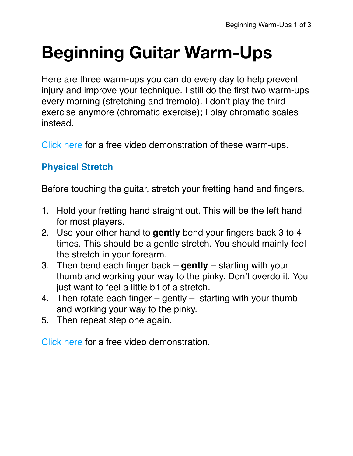# **Beginning Guitar Warm-Ups**

Here are three warm-ups you can do every day to help prevent injury and improve your technique. I still do the first two warm-ups every morning (stretching and tremolo). I don't play the third exercise anymore (chromatic exercise); I play chromatic scales instead.

[Click here](https://youtu.be/eM-JlpR9PdY) for a free video demonstration of these warm-ups.

#### **Physical Stretch**

Before touching the guitar, stretch your fretting hand and fingers.

- 1. Hold your fretting hand straight out. This will be the left hand for most players.
- 2. Use your other hand to **gently** bend your fingers back 3 to 4 times. This should be a gentle stretch. You should mainly feel the stretch in your forearm.
- 3. Then bend each finger back **gently** starting with your thumb and working your way to the pinky. Don't overdo it. You just want to feel a little bit of a stretch.
- 4. Then rotate each finger gently starting with your thumb and working your way to the pinky.
- 5. Then repeat step one again.

[Click here](https://youtu.be/eM-JlpR9PdY) for a free video demonstration.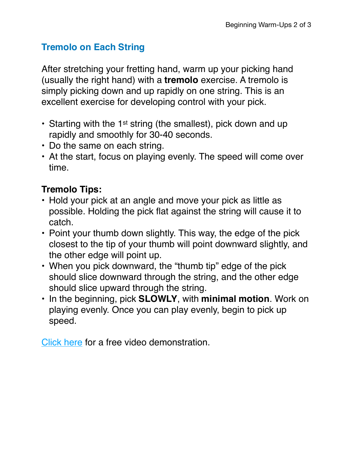### **Tremolo on Each String**

After stretching your fretting hand, warm up your picking hand (usually the right hand) with a **tremolo** exercise. A tremolo is simply picking down and up rapidly on one string. This is an excellent exercise for developing control with your pick.

- Starting with the 1<sup>st</sup> string (the smallest), pick down and up rapidly and smoothly for 30-40 seconds.
- Do the same on each string.
- At the start, focus on playing evenly. The speed will come over time.

## **Tremolo Tips:**

- Hold your pick at an angle and move your pick as little as possible. Holding the pick flat against the string will cause it to catch.
- Point your thumb down slightly. This way, the edge of the pick closest to the tip of your thumb will point downward slightly, and the other edge will point up.
- When you pick downward, the "thumb tip" edge of the pick should slice downward through the string, and the other edge should slice upward through the string.
- In the beginning, pick **SLOWLY**, with **minimal motion**. Work on playing evenly. Once you can play evenly, begin to pick up speed.

[Click here](https://youtu.be/eM-JlpR9PdY) for a free video demonstration.